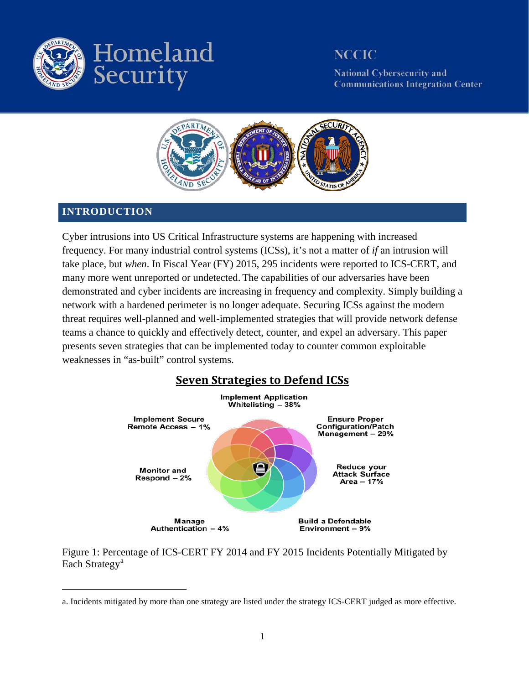

**National Cybersecurity and Communications Integration Center** 



### **INTRODUCTION**

 $\overline{a}$ 

Cyber intrusions into US Critical Infrastructure systems are happening with increased frequency. For many industrial control systems (ICSs), it's not a matter of *if* an intrusion will take place, but *when*. In Fiscal Year (FY) 2015, 295 incidents were reported to ICS-CERT, and many more went unreported or undetected. The capabilities of our adversaries have been demonstrated and cyber incidents are increasing in frequency and complexity. Simply building a network with a hardened perimeter is no longer adequate. Securing ICSs against the modern threat requires well-planned and well-implemented strategies that will provide network defense teams a chance to quickly and effectively detect, counter, and expel an adversary. This paper presents seven strategies that can be implemented today to counter common exploitable weaknesses in "as-built" control systems.



Figure 1: Percentage of ICS-CERT FY 2014 and FY 2015 Incidents Potentially Mitigated by E[a](#page-0-0)ch Strategy<sup>a</sup>

<span id="page-0-0"></span>a. Incidents mitigated by more than one strategy are listed under the strategy ICS-CERT judged as more effective.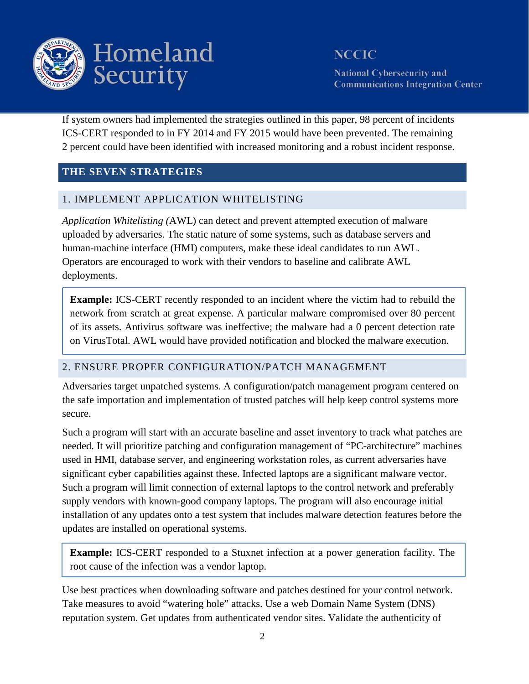

**National Cybersecurity and Communications Integration Center** 

If system owners had implemented the strategies outlined in this paper, 98 percent of incidents ICS-CERT responded to in FY 2014 and FY 2015 would have been prevented. The remaining 2 percent could have been identified with increased monitoring and a robust incident response.

### **THE SEVEN STRATEGIES**

### 1. IMPLEMENT APPLICATION WHITELISTING

*Application Whitelisting (*AWL) can detect and prevent attempted execution of malware uploaded by adversaries. The static nature of some systems, such as database servers and human-machine interface (HMI) computers, make these ideal candidates to run AWL. Operators are encouraged to work with their vendors to baseline and calibrate AWL deployments.

**Example:** ICS-CERT recently responded to an incident where the victim had to rebuild the network from scratch at great expense. A particular malware compromised over 80 percent of its assets. Antivirus software was ineffective; the malware had a 0 percent detection rate on VirusTotal. AWL would have provided notification and blocked the malware execution.

#### 2. ENSURE PROPER CONFIGURATION/PATCH MANAGEMENT

Adversaries target unpatched systems. A configuration/patch management program centered on the safe importation and implementation of trusted patches will help keep control systems more secure.

Such a program will start with an accurate baseline and asset inventory to track what patches are needed. It will prioritize patching and configuration management of "PC-architecture" machines used in HMI, database server, and engineering workstation roles, as current adversaries have significant cyber capabilities against these. Infected laptops are a significant malware vector. Such a program will limit connection of external laptops to the control network and preferably supply vendors with known-good company laptops. The program will also encourage initial installation of any updates onto a test system that includes malware detection features before the updates are installed on operational systems.

**Example:** ICS-CERT responded to a Stuxnet infection at a power generation facility. The root cause of the infection was a vendor laptop.

Use best practices when downloading software and patches destined for your control network. Take measures to avoid "watering hole" attacks. Use a web Domain Name System (DNS) reputation system. Get updates from authenticated vendor sites. Validate the authenticity of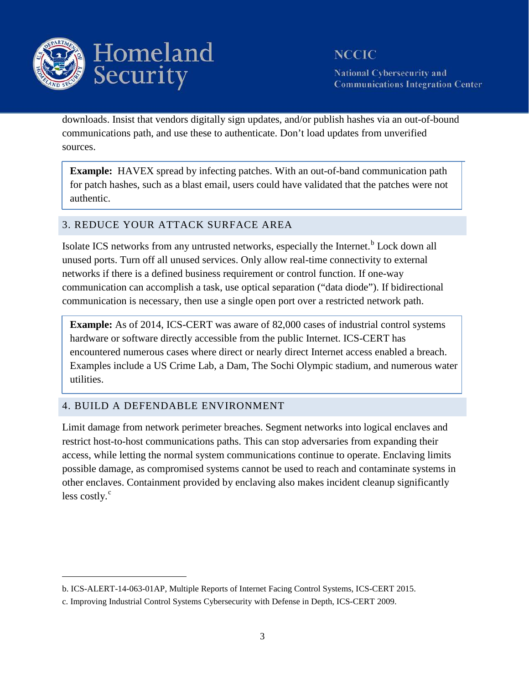

**National Cybersecurity and Communications Integration Center** 

downloads. Insist that vendors digitally sign updates, and/or publish hashes via an out-of-bound communications path, and use these to authenticate. Don't load updates from unverified sources.

**Example:** HAVEX spread by infecting patches. With an out-of-band communication path for patch hashes, such as a blast email, users could have validated that the patches were not authentic.

### 3. REDUCE YOUR ATTACK SURFACE AREA

Isolate ICS networks from any untrusted networks, especially the Internet.<sup>[b](#page-2-0)</sup> Lock down all unused ports. Turn off all unused services. Only allow real-time connectivity to external networks if there is a defined business requirement or control function. If one-way communication can accomplish a task, use optical separation ("data diode"). If bidirectional communication is necessary, then use a single open port over a restricted network path.

**Example:** As of 2014, ICS-CERT was aware of 82,000 cases of industrial control systems hardware or software directly accessible from the public Internet. ICS-CERT has encountered numerous cases where direct or nearly direct Internet access enabled a breach. Examples include a US Crime Lab, a Dam, The Sochi Olympic stadium, and numerous water utilities.

### 4. BUILD A DEFENDABLE ENVIRONMENT

 $\overline{a}$ 

Limit damage from network perimeter breaches. Segment networks into logical enclaves and restrict host-to-host communications paths. This can stop adversaries from expanding their access, while letting the normal system communications continue to operate. Enclaving limits possible damage, as compromised systems cannot be used to reach and contaminate systems in other enclaves. Containment provided by enclaving also makes incident cleanup significantly less [c](#page-2-1)ostly. $\degree$ 

<span id="page-2-0"></span>b. ICS-ALERT-14-063-01AP, Multiple Reports of Internet Facing Control Systems, ICS-CERT 2015.

<span id="page-2-1"></span>c. Improving Industrial Control Systems Cybersecurity with Defense in Depth, ICS-CERT 2009.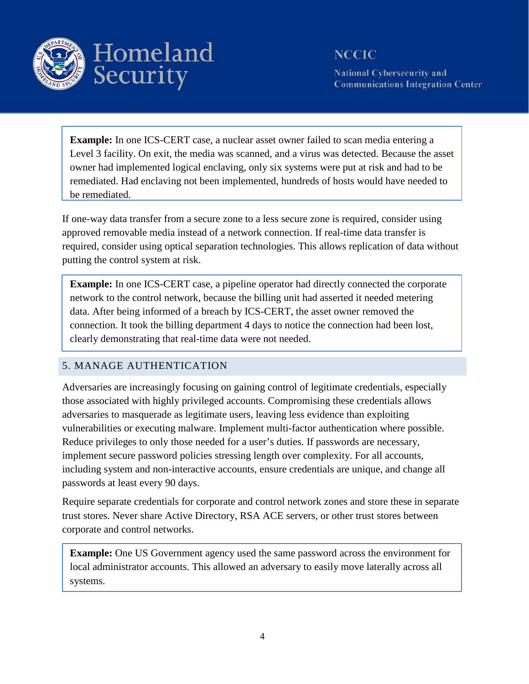

**National Cybersecurity and Communications Integration Center** 

**Example:** In one ICS-CERT case, a nuclear asset owner failed to scan media entering a Level 3 facility. On exit, the media was scanned, and a virus was detected. Because the asset owner had implemented logical enclaving, only six systems were put at risk and had to be remediated. Had enclaving not been implemented, hundreds of hosts would have needed to be remediated.

If one-way data transfer from a secure zone to a less secure zone is required, consider using approved removable media instead of a network connection. If real-time data transfer is required, consider using optical separation technologies. This allows replication of data without putting the control system at risk.

**Example:** In one ICS-CERT case, a pipeline operator had directly connected the corporate network to the control network, because the billing unit had asserted it needed metering data. After being informed of a breach by ICS-CERT, the asset owner removed the connection. It took the billing department 4 days to notice the connection had been lost, clearly demonstrating that real-time data were not needed.

### 5. MANAGE AUTHENTICATION

Adversaries are increasingly focusing on gaining control of legitimate credentials, especially those associated with highly privileged accounts. Compromising these credentials allows adversaries to masquerade as legitimate users, leaving less evidence than exploiting vulnerabilities or executing malware. Implement multi-factor authentication where possible. Reduce privileges to only those needed for a user's duties. If passwords are necessary, implement secure password policies stressing length over complexity. For all accounts, including system and non-interactive accounts, ensure credentials are unique, and change all passwords at least every 90 days.

Require separate credentials for corporate and control network zones and store these in separate trust stores. Never share Active Directory, RSA ACE servers, or other trust stores between corporate and control networks.

**Example:** One US Government agency used the same password across the environment for local administrator accounts. This allowed an adversary to easily move laterally across all systems.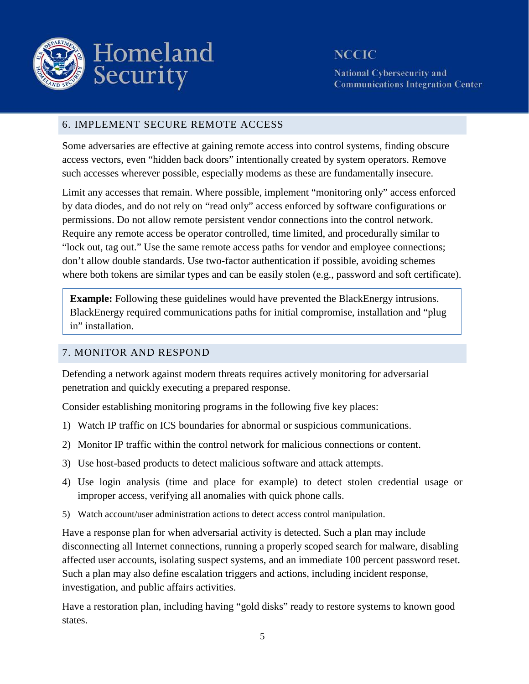

**National Cybersecurity and Communications Integration Center** 

#### 6. IMPLEMENT SECURE REMOTE ACCESS

Some adversaries are effective at gaining remote access into control systems, finding obscure access vectors, even "hidden back doors" intentionally created by system operators. Remove such accesses wherever possible, especially modems as these are fundamentally insecure.

Limit any accesses that remain. Where possible, implement "monitoring only" access enforced by data diodes, and do not rely on "read only" access enforced by software configurations or permissions. Do not allow remote persistent vendor connections into the control network. Require any remote access be operator controlled, time limited, and procedurally similar to "lock out, tag out." Use the same remote access paths for vendor and employee connections; don't allow double standards. Use two-factor authentication if possible, avoiding schemes where both tokens are similar types and can be easily stolen (e.g., password and soft certificate).

**Example:** Following these guidelines would have prevented the BlackEnergy intrusions. BlackEnergy required communications paths for initial compromise, installation and "plug in" installation.

#### 7. MONITOR AND RESPOND

Defending a network against modern threats requires actively monitoring for adversarial penetration and quickly executing a prepared response.

Consider establishing monitoring programs in the following five key places:

- 1) Watch IP traffic on ICS boundaries for abnormal or suspicious communications.
- 2) Monitor IP traffic within the control network for malicious connections or content.
- 3) Use host-based products to detect malicious software and attack attempts.
- 4) Use login analysis (time and place for example) to detect stolen credential usage or improper access, verifying all anomalies with quick phone calls.
- 5) Watch account/user administration actions to detect access control manipulation.

Have a response plan for when adversarial activity is detected. Such a plan may include disconnecting all Internet connections, running a properly scoped search for malware, disabling affected user accounts, isolating suspect systems, and an immediate 100 percent password reset. Such a plan may also define escalation triggers and actions, including incident response, investigation, and public affairs activities.

Have a restoration plan, including having "gold disks" ready to restore systems to known good states.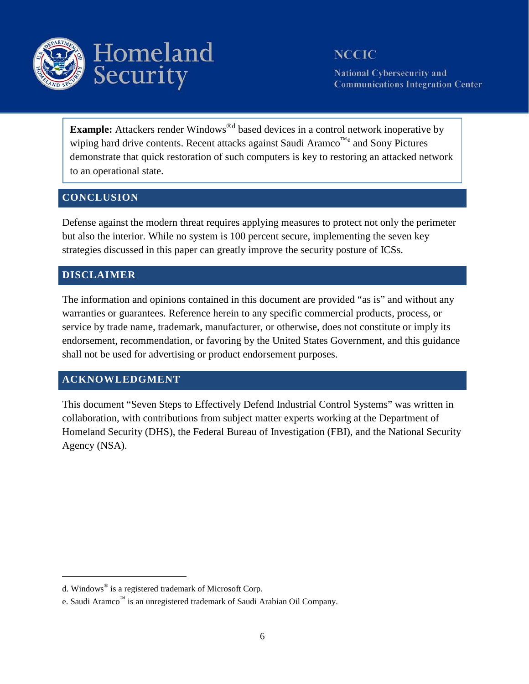

**National Cybersecurity and Communications Integration Center** 

Example: Attackers ren[d](#page-5-0)er Windows<sup>®d</sup> based devices in a control network inoperative by wiping hard driv[e](#page-5-1) contents. Recent attacks against Saudi Aramco<sup>™e</sup> and Sony Pictures demonstrate that quick restoration of such computers is key to restoring an attacked network to an operational state.

### **CONCLUSION**

Defense against the modern threat requires applying measures to protect not only the perimeter but also the interior. While no system is 100 percent secure, implementing the seven key strategies discussed in this paper can greatly improve the security posture of ICSs.

### **DISCLAIMER**

 $\overline{a}$ 

The information and opinions contained in this document are provided "as is" and without any warranties or guarantees. Reference herein to any specific commercial products, process, or service by trade name, trademark, manufacturer, or otherwise, does not constitute or imply its endorsement, recommendation, or favoring by the United States Government, and this guidance shall not be used for advertising or product endorsement purposes.

### **ACKNOWLEDGMENT**

This document "Seven Steps to Effectively Defend Industrial Control Systems" was written in collaboration, with contributions from subject matter experts working at the Department of Homeland Security (DHS), the Federal Bureau of Investigation (FBI), and the National Security Agency (NSA).

<span id="page-5-0"></span>d. Windows® is a registered trademark of Microsoft Corp.

<span id="page-5-1"></span>e. Saudi Aramco<sup>™</sup> is an unregistered trademark of Saudi Arabian Oil Company.